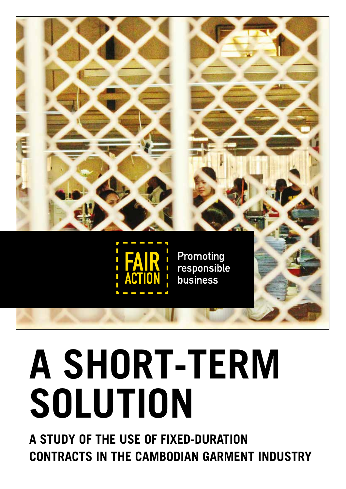

# **A SHORT-TERM SOLUTION**

**A STUDY OF THE USE OF FIXED-DURATION CONTRACTS IN THE CAMBODIAN GARMENT INDUSTRY**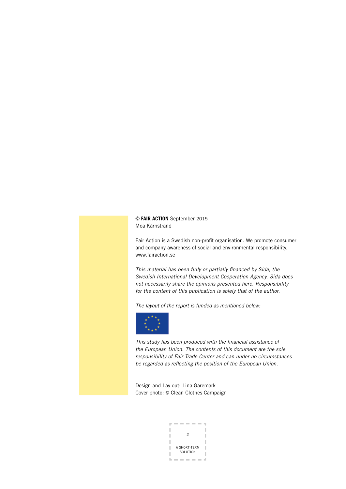© **FAIR ACTION** September 2015 Moa Kärnstrand

Fair Action is a Swedish non-profit organisation. We promote consumer and company awareness of social and environmental responsibility. www.fairaction.se

This material has been fully or partially financed by Sida, the Swedish International Development Cooperation Agency. Sida does not necessarily share the opinions presented here. Responsibility for the content of this publication is solely that of the author.

The layout of the report is funded as mentioned below:



This study has been produced with the financial assistance of the European Union. The contents of this document are the sole responsibility of Fair Trade Center and can under no circumstances be regarded as reflecting the position of the European Union.

Design and Lay out: Lina Garemark Cover photo: © Clean Clothes Campaign

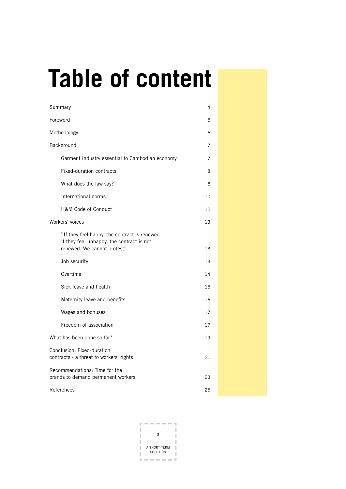# **Table of content**

| Summary                                                                                                                   | 4              |  |
|---------------------------------------------------------------------------------------------------------------------------|----------------|--|
| Foreword                                                                                                                  | 5              |  |
| Methodology                                                                                                               | 6              |  |
| Background                                                                                                                | 7              |  |
| Garment industry essential to Cambodian economy                                                                           | $\overline{7}$ |  |
| Fixed-duration contracts                                                                                                  | 8              |  |
| What does the law say?                                                                                                    | 8              |  |
| International norms                                                                                                       | 10             |  |
| <b>H&amp;M Code of Conduct</b>                                                                                            | 12             |  |
| Workers' voices                                                                                                           | 13             |  |
| "If they feel happy, the contract is renewed.<br>If they feel unhappy, the contract is not<br>renewed. We cannot protest" | 13             |  |
| Job security                                                                                                              | 13             |  |
| Overtime                                                                                                                  | 14             |  |
| Sick leave and health                                                                                                     | 15             |  |
| Maternity leave and benefits                                                                                              | 16             |  |
| Wages and bonuses                                                                                                         | 17             |  |
| Freedom of association                                                                                                    | 17             |  |
| What has been done so far?                                                                                                | 19             |  |
| Conclusion: Fixed-duration<br>contracts - a threat to workers' rights                                                     | 21             |  |
| Recommendations: Time for the<br>brands to demand permanent workers                                                       | 23             |  |
| References                                                                                                                | 25             |  |

3 A SHORT-TERM SOLUTION J. ω.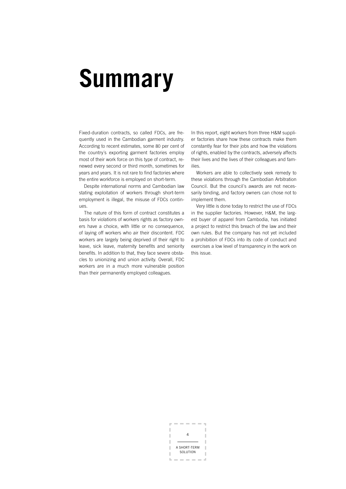# **Summary**

Fixed-duration contracts, so called FDCs, are frequently used in the Cambodian garment industry. According to recent estimates, some 80 per cent of the country´s exporting garment factories employ most of their work force on this type of contract, renewed every second or third month, sometimes for years and years. It is not rare to find factories where the entire workforce is employed on short-term.

Despite international norms and Cambodian law stating exploitation of workers through short-term employment is illegal, the misuse of FDCs continues.

The nature of this form of contract constitutes a basis for violations of workers rights as factory owners have a choice, with little or no consequence, of laying off workers who air their discontent. FDC workers are largely being deprived of their right to leave, sick leave, maternity benefits and seniority benefits. In addition to that, they face severe obstacles to unionizing and union activity. Overall, FDC workers are in a much more vulnerable position than their permanently employed colleagues.

In this report, eight workers from three H&M supplier factories share how these contracts make them constantly fear for their jobs and how the violations of rights, enabled by the contracts, adversely affects their lives and the lives of their colleagues and families.

Workers are able to collectively seek remedy to these violations through the Cambodian Arbitration Council. But the council´s awards are not necessarily binding, and factory owners can chose not to implement them.

Very little is done today to restrict the use of FDCs in the supplier factories. However, H&M, the largest buyer of apparel from Cambodia, has initiated a project to restrict this breach of the law and their own rules. But the company has not yet included a prohibition of FDCs into its code of conduct and exercises a low level of transparency in the work on this issue.

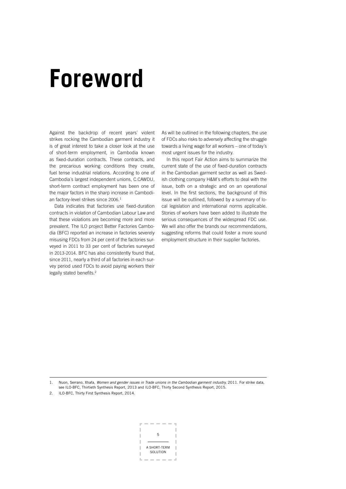### **Foreword**

Against the backdrop of recent years´ violent strikes rocking the Cambodian garment industry it is of great interest to take a closer look at the use of short-term employment, in Cambodia known as fixed-duration contracts. These contracts, and the precarious working conditions they create, fuel tense industrial relations. According to one of Cambodia´s largest independent unions, C.CAWDU, short-term contract employment has been one of the major factors in the sharp increase in Cambodian factory-level strikes since 2006. 1

Data indicates that factories use fixed-duration contracts in violation of Cambodian Labour Law and that these violations are becoming more and more prevalent. The ILO project Better Factories Cambodia (BFC) reported an increase in factories severely misusing FDCs from 24 per cent of the factories surveyed in 2011 to 33 per cent of factories surveyed in 2013-2014. BFC has also consistently found that, since 2011, nearly a third of all factories in each survey period used FDCs to avoid paying workers their legally stated benefits.<sup>2</sup>

As will be outlined in the following chapters, the use of FDCs also risks to adversely affecting the struggle towards a living wage for all workers – one of today´s most urgent issues for the industry.

In this report Fair Action aims to summarize the current state of the use of fixed-duration contracts in the Cambodian garment sector as well as Swedish clothing company H&M´s efforts to deal with the issue, both on a strategic and on an operational level. In the first sections, the background of this issue will be outlined, followed by a summary of local legislation and international norms applicable. Stories of workers have been added to illustrate the serious consequences of the widespread FDC use. We will also offer the brands our recommendations, suggesting reforms that could foster a more sound employment structure in their supplier factories.

1. Nuon, Serrano, Xhafa, Women and gender issues in Trade unions in the Cambodian garment industry, 2011. For strike data, see ILO-BFC, Thirtieth Synthesis Report, 2013 and ILO-BFC, Thirty Second Synthesis Report, 2015.

2. ILO-BFC, Thirty First Synthesis Report, 2014.

5 A SHORT-TERM SOLUTION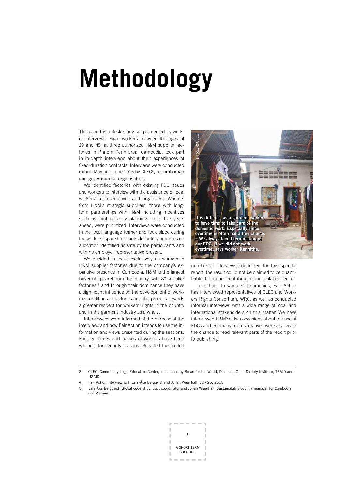# **Methodology**

This report is a desk study supplemented by worker interviews. Eight workers between the ages of 29 and 45, at three authorized H&M supplier factories in Phnom Penh area, Cambodia, took part in in-depth interviews about their experiences of fixed-duration contracts. Interviews were conducted during May and June 2015 by CLEC<sup>3</sup>, a Cambodian non-governmental organisation.

We identified factories with existing FDC issues and workers to interview with the assistance of local workers´ representatives and organizers. Workers from H&M's strategic suppliers, those with longterm partnerships with H&M including incentives such as joint capacity planning up to five years ahead, were prioritized. Interviews were conducted in the local language Khmer and took place during the workers´ spare time, outside factory premises on a location identified as safe by the participants and with no employer representative present.

We decided to focus exclusively on workers in H&M supplier factories due to the company´s expansive presence in Cambodia. H&M is the largest buyer of apparel from the country, with 80 supplier factories.<sup>4</sup> and through their dominance they have a significant influence on the development of working conditions in factories and the process towards a greater respect for workers´ rights in the country and in the garment industry as a whole.

Interviewees were informed of the purpose of the interviews and how Fair Action intends to use the information and views presented during the sessions. Factory names and names of workers have been withheld for security reasons. Provided the limited



number of interviews conducted for this specific report, the result could not be claimed to be quantifiable, but rather contribute to anecdotal evidence.

In addition to workers´ testimonies, Fair Action has interviewed representatives of CLEC and Workers Rights Consortium, WRC, as well as conducted informal interviews with a wide range of local and international stakeholders on this matter. We have interviewed H&M<sup>5</sup> at two occasions about the use of FDCs and company representatives were also given the chance to read relevant parts of the report prior to publishing.

<sup>5.</sup> Lars-Åke Bergqvist, Global code of conduct coordinator and Jonah Wigerhäll, Sustainability country manager for Cambodia and Vietnam.



<sup>3.</sup> CLEC, Community Legal Education Center, is financed by Bread for the World, Diakonia, Open Society Institute, TRAID and USAID.

<sup>4.</sup> Fair Action interview with Lars-Åke Bergqvist and Jonah Wigerhäll, July 25, 2015.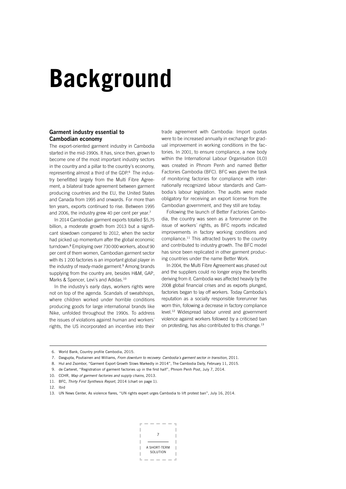# **Background**

### Garment industry essential to Cambodian economy

The export-oriented garment industry in Cambodia started in the mid-1990s. It has, since then, grown to become one of the most important industry sectors in the country and a pillar to the country´s economy, representing almost a third of the GDP.6 The industry benefitted largely from the Multi Fibre Agreement, a bilateral trade agreement between garment producing countries and the EU, the United States and Canada from 1995 and onwards. For more than ten years, exports continued to rise. Between 1995 and 2006, the industry grew 40 per cent per year.<sup>7</sup>

In 2014 Cambodian garment exports totalled \$5,75 billion, a moderate growth from 2013 but a significant slowdown compared to 2012, when the sector had picked up momentum after the global economic turndown.8 Employing over 730 000 workers, about 90 per cent of them women, Cambodian garment sector with its 1 200 factories is an important global player in the industry of ready-made garment.<sup>9</sup> Among brands supplying from the country are, besides H&M, GAP, Marks & Spencer, Levi's and Adidas.<sup>10</sup>

In the industry´s early days, workers rights were not on top of the agenda. Scandals of sweatshops, where children worked under horrible conditions producing goods for large international brands like Nike, unfolded throughout the 1990s. To address the issues of violations against human and workers´ rights, the US incorporated an incentive into their trade agreement with Cambodia: Import quotas were to be increased annually in exchange for gradual improvement in working conditions in the factories. In 2001, to ensure compliance, a new body within the International Labour Organisation (ILO) was created in Phnom Penh and named Better Factories Cambodia (BFC). BFC was given the task of monitoring factories for compliance with internationally recognized labour standards and Cambodia´s labour legislation. The audits were made obligatory for receiving an export license from the Cambodian government, and they still are today.

Following the launch of Better Factories Cambodia, the country was seen as a forerunner on the issue of workers´ rights, as BFC reports indicated improvements in factory working conditions and compliance.<sup>11</sup> This attracted buyers to the country and contributed to industry growth. The BFC model has since been replicated in other garment producing countries under the name Better Work.

In 2004, the Multi Fibre Agreement was phased out and the suppliers could no longer enjoy the benefits deriving from it. Cambodia was affected heavily by the 2008 global financial crises and as exports plunged, factories began to lay off workers. Today Cambodia´s reputation as a socially responsible forerunner has worn thin, following a decrease in factory compliance level.12 Widespread labour unrest and government violence against workers followed by a criticised ban on protesting, has also contributed to this change.<sup>13</sup>



 <sup>6.</sup> World Bank, Country profile Cambodia, 2015.

<sup>7.</sup> Dasgupta, Poutiainen and Williams, From downturn to recovery: Cambodia's garment sector in transition, 2011.

 <sup>8.</sup> Hul and Zsombor, "Garment Export Growth Slows Markedly in 2014", The Cambodia Daily, February 11, 2015.

 <sup>9.</sup> de Carteret, "Registration of garment factories up in the first half", Phnom Penh Post, July 7, 2014.

<sup>10.</sup> CCHR, Map of garment factories and supply chains, 2013.

<sup>11.</sup> BFC, Thirty First Synthesis Report, 2014 (chart on page 1).

<sup>12.</sup> Ibid

<sup>13.</sup> UN News Center, As violence flares, "UN rights expert urges Cambodia to lift protest ban", July 16, 2014.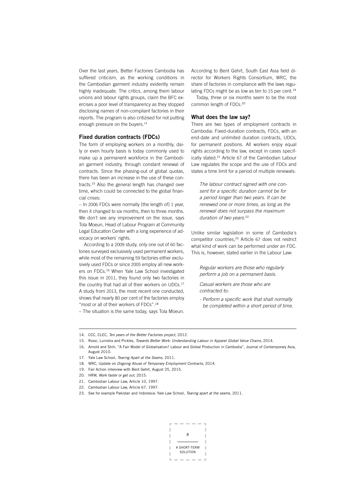Over the last years, Better Factories Cambodia has suffered criticism, as the working conditions in the Cambodian garment industry evidently remain highly inadequate. The critics, among them labour unions and labour rights groups, claim the BFC exercises a poor level of transparency as they stopped disclosing names of non-compliant factories in their reports. The program is also critizised for not putting enough pressure on the buyers.<sup>14</sup>

### Fixed duration contracts (FDCs)

The form of employing workers on a monthly, daily or even hourly basis is today commonly used to make up a permanent workforce in the Cambodian garment industry, through constant renewal of contracts. Since the phasing-out of global quotas, there has been an increase in the use of these contracts.15 Also the general length has changed over time, which could be connected to the global financial crises:

– In 2006 FDCs were normally [the length of] 1 year, then it changed to six months, then to three months. We don´t see any improvement on the issue, says Tola Moeun, Head of Labour Program at Community Legal Education Center with a long experience of advocacy on workers´ rights.

According to a 2009 study, only one out of 60 factories surveyed exclusively used permanent workers, while most of the remaining 59 factories either exclusively used FDCs or since 2005 employ all new workers on FDCs.16 When Yale Law School investigated this issue in 2011, they found only two factories in the country that had all of their workers on UDCs.<sup>17</sup> A study from 2013, the most recent one conducted, shows that nearly 80 per cent of the factories employ "most or all of their workers of FDCs".<sup>18</sup>

– The situation is the same today, says Tola Moeun.

According to Bent Gehrt, South East Asia field director for Workers Rights Consortium, WRC, the share of factories in compliance with the laws regulating FDCs might be as low as ten to 15 per cent.<sup>19</sup>

Today, three or six months seem to be the most common length of FDCs.<sup>20</sup>

### What does the law say?

There are two types of employment contracts in Cambodia: Fixed-duration contracts, FDCs, with an end-date and unlimited duration contracts, UDCs, for permanent positions. All workers enjoy equal rights according to the law, except in cases specifically stated.21 Article 67 of the Cambodian Labour Law regulates the scope and the use of FDCs and states a time limit for a period of multiple renewals:

The labour contract signed with one consent for a specific duration cannot be for a period longer than two years. It can be renewed one or more times, as long as the renewal does not surpass the maximum duration of two years.<sup>22</sup>

Unlike similar legislation in some of Cambodia´s competitor countries,<sup>23</sup> Article 67 does not restrict what kind of work can be performed under an FDC. This is, however, stated earlier in the Labour Law:

Regular workers are those who regularly perform a job on a permanent basis.

Casual workers are those who are contracted to:

- Perform a specific work that shall normally be completed within a short period of time.

- 22. Cambodian Labour Law, Article 67, 1997.
- 23. See for example Pakistan and Indonesia: Yale Law School, Tearing apart at the seams, 2011.



<sup>14.</sup> CCC, CLEC, Ten years of the Better Factories project, 2012.

<sup>15.</sup> Rossi, Luinstra and Pickles, Towards Better Work: Understanding Labour in Apparel Global Value Chains, 2014.

<sup>16.</sup> Arnold and Shih, "A Fair Model of Globalisation? Labour and Global Production in Cambodia", Journal of Contemporary Asia, August 2010.

<sup>17.</sup> Yale Law School, Tearing Apart at the Seams, 2011.

<sup>18.</sup> WRC, Update on Ongoing Abuse of Temporary Employment Contracts, 2014.

<sup>19.</sup> Fair Action interview with Bent Gehrt, August 25, 2015.

<sup>20.</sup> HRW, Work faster or get out, 2015.

<sup>21.</sup> Cambodian Labour Law, Article 10, 1997.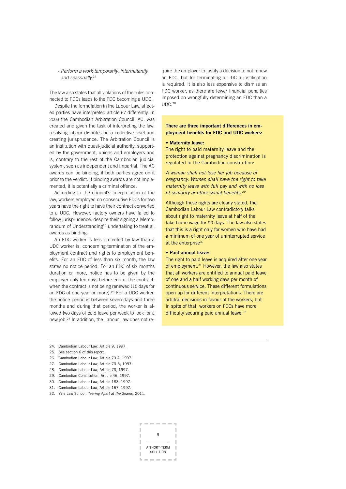### - Perform a work temporarily, intermittently and seasonally.<sup>24</sup>

The law also states that all violations of the rules connected to FDCs leads to the FDC becoming a UDC.

Despite the formulation in the Labour Law, affected parties have interpreted article 67 differently. In 2003 the Cambodian Arbitration Council, AC, was created and given the task of interpreting the law, resolving labour disputes on a collective level and creating jurisprudence. The Arbitration Council is an institution with quasi-judicial authority, supported by the government, unions and employers and is, contrary to the rest of the Cambodian judicial system, seen as independent and impartial. The AC awards can be binding, if both parties agree on it prior to the verdict. If binding awards are not implemented, it is potentially a criminal offence.

According to the council´s interpretation of the law, workers employed on consecutive FDCs for two years have the right to have their contract converted to a UDC. However, factory owners have failed to follow jurisprudence, despite their signing a Memorandum of Understanding<sup>25</sup> undertaking to treat all awards as binding.

An FDC worker is less protected by law than a UDC worker is, concerning termination of the employment contract and rights to employment benefits. For an FDC of less than six month, the law states no notice period. For an FDC of six months duration or more, notice has to be given by the employer only ten days before end of the contract, when the contract is not being renewed (15 days for an FDC of one year or more).<sup>26</sup> For a UDC worker, the notice period is between seven days and three months and during that period, the worker is allowed two days of paid leave per week to look for a new job.27 In addition, the Labour Law does not require the employer to justify a decision to not renew an FDC, but for terminating a UDC a justification is required. It is also less expensive to dismiss an FDC worker, as there are fewer financial penalties imposed on wrongfully determining an FDC than a UDC. 28

### There are three important differences in employment benefits for FDC and UDC workers:

### • Maternity leave:

The right to paid maternity leave and the protection against pregnancy discrimination is regulated in the Cambodian constitution:

A woman shall not lose her job because of pregnancy. Women shall have the right to take maternity leave with full pay and with no loss of seniority or other social benefits.<sup>29</sup>

Although these rights are clearly stated, the Cambodian Labour Law contradictory talks about right to maternity leave at half of the take-home wage for 90 days. The law also states that this is a right only for women who have had a minimum of one year of uninterrupted service at the enterprise<sup>30</sup>

### • Paid annual leave:

The right to paid leave is acquired after one year of employment.<sup>31</sup> However, the law also states that all workers are entitled to annual paid leave of one and a half working days per month of continuous service. These different formulations open up for different interpretations. There are arbitral decisions in favour of the workers, but in spite of that, workers on FDCs have more difficulty securing paid annual leave.<sup>32</sup>

- 26. Cambodian Labour Law, Article 73 A, 1997.
- 27. Cambodian Labour Law, Article 73 B, 1997.
- 28. Cambodian Labour Law, Article 73, 1997.
- 29. Cambodian Constitution, Article 46, 1997.
- 30. Cambodian Labour Law, Article 183, 1997.
- 31. Cambodian Labour Law, Article 167, 1997.
- 32. Yale Law School, Tearing Apart at the Seams. 2011.
	- 9 A SHORT-TERM **SOLUTION**

<sup>24.</sup> Cambodian Labour Law, Article 9, 1997.

<sup>25.</sup> See section 6 of this report.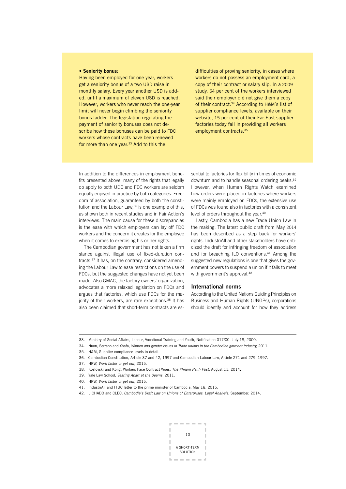### • Seniority bonus:

Having been employed for one year, workers get a seniority bonus of a two USD raise in monthly salary. Every year another USD is added, until a maximum of eleven USD is reached. However, workers who never reach the one-year limit will never begin climbing the seniority bonus ladder. The legislation regulating the payment of seniority bonuses does not describe how these bonuses can be paid to FDC workers whose contracts have been renewed for more than one year.<sup>33</sup> Add to this the

difficulties of proving seniority, in cases where workers do not possess an employment card, a copy of their contract or salary slip. In a 2009 study, 64 per cent of the workers interviewed said their employer did not give them a copy of their contract.34 According to H&M´s list of supplier compliance levels, available on their website, 15 per cent of their Far East supplier factories today fail in providing all workers employment contracts.35

In addition to the differences in employment benefits presented above, many of the rights that legally do apply to both UDC and FDC workers are seldom equally enjoyed in practice by both categories. Freedom of association, guaranteed by both the constitution and the Labour Law,<sup>36</sup> is one example of this, as shown both in recent studies and in Fair Action´s interviews. The main cause for these discrepancies is the ease with which employers can lay off FDC workers and the concern it creates for the employee when it comes to exercising his or her rights.

The Cambodian government has not taken a firm stance against illegal use of fixed-duration contracts.37 It has, on the contrary, considered amending the Labour Law to ease restrictions on the use of FDCs, but the suggested changes have not yet been made. Also GMAC, the factory owners´ organization, advocates a more relaxed legislation on FDCs and argues that factories, which use FDCs for the majority of their workers, are rare exceptions.<sup>38</sup> It has also been claimed that short-term contracts are es-

sential to factories for flexibility in times of economic downturn and to handle seasonal ordering peaks.<sup>39</sup> However, when Human Rights Watch examined how orders were placed in factories where workers were mainly employed on FDCs, the extensive use of FDCs was found also in factories with a consistent level of orders throughout the year.<sup>40</sup>

Lastly, Cambodia has a new Trade Union Law in the making. The latest public draft from May 2014 has been described as a step back for workers´ rights. IndustriAll and other stakeholders have criticized the draft for infringing freedom of association and for breaching ILO conventions.41 Among the suggested new regulations is one that gives the government powers to suspend a union if it fails to meet with government's approval.<sup>42</sup>

### International norms

According to the United Nations Guiding Principles on Business and Human Rights (UNGPs), corporations should identify and account for how they address

- 34. Nuon, Serrano and Xhafa, Women and gender issues in Trade unions in the Cambodian garment industry, 2011.
- 35. H&M, Supplier compliance levels in detail.
- 36. Cambodian Constitution, Article 37 and 42, 1997 and Cambodian Labour Law, Article 271 and 279, 1997.
- 37. HRW, Work faster or get out, 2015.
- 38. Koslovski and Kong, Workers Face Contract Woes, The Phnom Penh Post, August 11, 2014.
- 39. Yale Law School, Tearing Apart at the Seams, 2011.
- 40. HRW, Work faster or get out, 2015.
- 41. IndustriAll and ITUC letter to the prime minister of Cambodia, May 18, 2015.
- 42. LICHADO and CLEC, Cambodia's Draft Law on Unions of Enterprises, Legal Analysis, September, 2014.



<sup>33.</sup> Ministry of Social Affairs, Labour, Vocational Training and Youth, Notification 017/00, July 18, 2000.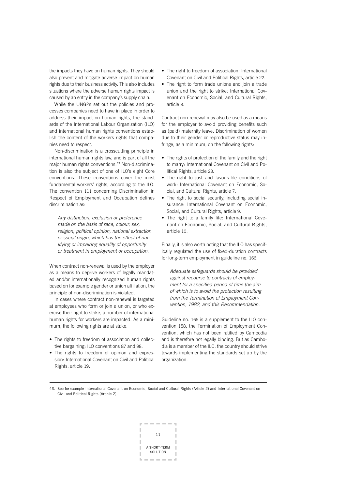the impacts they have on human rights. They should also prevent and mitigate adverse impact on human rights due to their business activity. This also includes situations where the adverse human rights impact is caused by an entity in the company's supply chain.

While the UNGPs set out the policies and processes companies need to have in place in order to address their impact on human rights, the standards of the International Labour Organization (ILO) and international human rights conventions establish the content of the workers rights that companies need to respect.

Non-discrimination is a crosscutting principle in international human rights law, and is part of all the major human rights conventions.<sup>43</sup> Non-discrimination is also the subject of one of ILO's eight Core conventions. These conventions cover the most fundamental workers' rights, according to the ILO. The convention 111 concerning Discrimination in Respect of Employment and Occupation defines discrimination as:

Any distinction, exclusion or preference made on the basis of race, colour, sex, religion, political opinion, national extraction or social origin, which has the effect of nullifying or impairing equality of opportunity or treatment in employment or occupation.

When contract non-renewal is used by the employer as a means to deprive workers of legally mandated and/or internationally recognized human rights based on for example gender or union affiliation, the principle of non-discrimination is violated.

In cases where contract non-renewal is targeted at employees who form or join a union, or who exercise their right to strike, a number of international human rights for workers are impacted. As a minimum, the following rights are at stake:

- The rights to freedom of association and collective bargaining: ILO conventions 87 and 98.
- The rights to freedom of opinion and expression: International Covenant on Civil and Political Rights, article 19.
- The right to freedom of association: International Covenant on Civil and Political Rights, article 22.
- The right to form trade unions and join a trade union and the right to strike: International Covenant on Economic, Social, and Cultural Rights, article 8.

Contract non-renewal may also be used as a means for the employer to avoid providing benefits such as (paid) maternity leave. Discrimination of women due to their gender or reproductive status may infringe, as a minimum, on the following rights:

- The rights of protection of the family and the right to marry: International Covenant on Civil and Political Rights, article 23.
- The right to just and favourable conditions of work: International Covenant on Economic, Social, and Cultural Rights, article 7.
- The right to social security, including social insurance: International Covenant on Economic, Social, and Cultural Rights, article 9.
- The right to a family life: International Covenant on Economic, Social, and Cultural Rights, article 10.

Finally, it is also worth noting that the ILO has specifically regulated the use of fixed-duration contracts for long-term employment in guideline no. 166:

Adequate safeguards should be provided against recourse to contracts of employment for a specified period of time the aim of which is to avoid the protection resulting from the Termination of Employment Convention, 1982, and this Recommendation.

Guideline no. 166 is a supplement to the ILO convention 158, the Termination of Employment Convention, which has not been ratified by Cambodia and is therefore not legally binding. But as Cambodia is a member of the ILO, the country should strive towards implementing the standards set up by the organization.

43. See for example International Covenant on Economic, Social and Cultural Rights (Article 2) and International Covenant on Civil and Political Rights (Article 2).

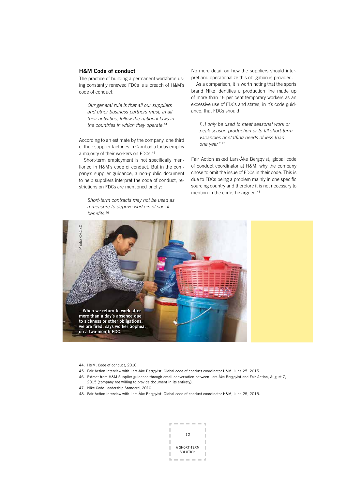### H&M Code of conduct

The practice of building a permanent workforce using constantly renewed FDCs is a breach of H&M´s code of conduct:

Our general rule is that all our suppliers and other business partners must, in all their activities, follow the national laws in the countries in which they operate.<sup>44</sup>

According to an estimate by the company, one third of their supplier factories in Cambodia today employ a majority of their workers on FDCs.<sup>45</sup>

Short-term employment is not specifically mentioned in H&M´s code of conduct. But in the company´s supplier guidance, a non-public document to help suppliers interpret the code of conduct, restrictions on FDCs are mentioned briefly:

Short-term contracts may not be used as a measure to deprive workers of social benefits.<sup>46</sup>

No more detail on how the suppliers should interpret and operationalize this obligation is provided.

As a comparison, it is worth noting that the sports brand Nike identifies a production line made up of more than 15 per cent temporary workers as an excessive use of FDCs and states, in it´s code guidance, that FDCs should

[..] only be used to meet seasonal work or peak season production or to fill short-term vacancies or staffing needs of less than one year" 47

Fair Action asked Lars-Åke Bergqvist, global code of conduct coordinator at H&M, why the company chose to omit the issue of FDCs in their code. This is due to FDCs being a problem mainly in one specific sourcing country and therefore it is not necessary to mention in the code, he argued.<sup>48</sup>



<sup>44.</sup> H&M, Code of conduct, 2010.

- 46. Extract from H&M Supplier guidance through email conversation between Lars-Åke Bergqvist and Fair Action, August 7, 2015 (company not willing to provide document in its entirety).
- 47. Nike Code Leadership Standard, 2010.
- 



<sup>45.</sup> Fair Action interview with Lars-Åke Bergqvist, Global code of conduct coordinator H&M, June 25, 2015.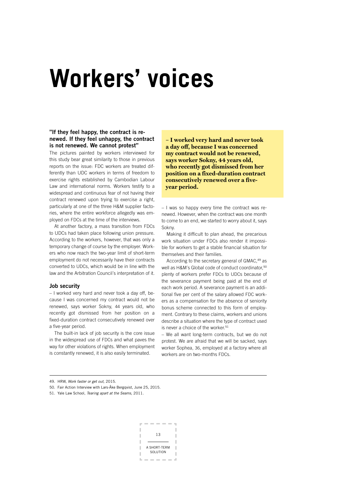### **Workers' voices**

### "If they feel happy, the contract is renewed. If they feel unhappy, the contract is not renewed. We cannot protest"

The pictures painted by workers interviewed for this study bear great similarity to those in previous reports on the issue: FDC workers are treated differently than UDC workers in terms of freedom to exercise rights established by Cambodian Labour Law and international norms. Workers testify to a widespread and continuous fear of not having their contract renewed upon trying to exercise a right, particularly at one of the three H&M supplier factories, where the entire workforce allegedly was employed on FDCs at the time of the interviews.

At another factory, a mass transition from FDCs to UDCs had taken place following union pressure. According to the workers, however, that was only a temporary change of course by the employer. Workers who now reach the two-year limit of short-term employment do not necessarily have their contracts converted to UDCs, which would be in line with the law and the Arbitration Council´s interpretation of it.

### Job security

– I worked very hard and never took a day off, because I was concerned my contract would not be renewed, says worker Sokny, 44 years old, who recently got dismissed from her position on a fixed-duration contract consecutively renewed over a five-year period.

The built-in lack of job security is the core issue in the widespread use of FDCs and what paves the way for other violations of rights. When employment is constantly renewed, it is also easily terminated.

**– I worked very hard and never took a day off, because I was concerned my contract would not be renewed, says worker Sokny, 44 years old, who recently got dismissed from her position on a fixed-duration contract consecutively renewed over a fiveyear period.**

– I was so happy every time the contract was renewed. However, when the contract was one month to come to an end, we started to worry about it, says Sokny.

Making it difficult to plan ahead, the precarious work situation under FDCs also render it impossible for workers to get a stable financial situation for themselves and their families.

According to the secretary general of GMAC,<sup>49</sup> as well as H&M's Global code of conduct coordinator,<sup>50</sup> plenty of workers prefer FDCs to UDCs because of the severance payment being paid at the end of each work period. A severance payment is an additional five per cent of the salary allowed FDC workers as a compensation for the absence of seniority bonus scheme connected to this form of employment. Contrary to these claims, workers and unions describe a situation where the type of contract used is never a choice of the worker.<sup>51</sup>

– We all want long-term contracts, but we do not protest. We are afraid that we will be sacked, says worker Sophea, 36, employed at a factory where all workers are on two-months FDCs.

50. Fair Action Interview with Lars-Åke Bergqvist, June 25, 2015.

<sup>51.</sup> Yale Law School, Tearing apart at the Seams, 2011.



<sup>49.</sup> HRW, Work faster or get out, 2015.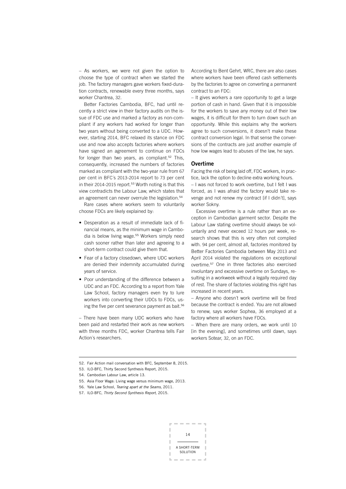– As workers, we were not given the option to choose the type of contract when we started the job. The factory managers gave workers fixed-duration contracts, renewable every three months, says worker Chantrea, 32.

Better Factories Cambodia, BFC, had until recently a strict view in their factory audits on the issue of FDC use and marked a factory as non-compliant if any workers had worked for longer than two years without being converted to a UDC. However, starting 2014, BFC relaxed its stance on FDC use and now also accepts factories where workers have signed an agreement to continue on FDCs for longer than two years, as compliant.<sup>52</sup> This, consequently, increased the numbers of factories marked as compliant with the two-year rule from 67 per cent in BFC´s 2013-2014 report to 73 per cent in their 2014-2015 report.<sup>53</sup> Worth noting is that this view contradicts the Labour Law, which states that an agreement can never overrule the legislation.<sup>54</sup>

Rare cases where workers seem to voluntarily choose FDCs are likely explained by:

- Desperation as a result of immediate lack of financial means, as the minimum wage in Cambodia is below living wage.<sup>55</sup> Workers simply need cash sooner rather than later and agreeing to a short-term contract could give them that.
- Fear of a factory closedown, where UDC workers are denied their indemnity accumulated during years of service.
- Poor understanding of the difference between a UDC and an FDC. According to a report from Yale Law School, factory managers even try to lure workers into converting their UDCs to FDCs, using the five per cent severance payment as bait.<sup>56</sup>

– There have been many UDC workers who have been paid and restarted their work as new workers with three months FDC, worker Chantrea tells Fair Action´s researchers.

According to Bent Gehrt, WRC, there are also cases where workers have been offered cash settlements by the factories to agree on converting a permanent contract to an FDC:

– It gives workers a rare opportunity to get a large portion of cash in hand. Given that it is impossible for the workers to save any money out of their low wages, it is difficult for them to turn down such an opportunity. While this explains why the workers agree to such conversions, it doesn't make these contract conversion legal. In that sense the conversions of the contracts are just another example of how low wages lead to abuses of the law, he says.

### Overtime

Facing the risk of being laid off, FDC workers, in practice, lack the option to decline extra working hours.

– I was not forced to work overtime, but I felt I was forced, as I was afraid the factory would take revenge and not renew my contract [if I didn´t], says worker Sokny.

Excessive overtime is a rule rather than an exception in Cambodian garment sector. Despite the Labour Law stating overtime should always be voluntarily and never exceed 12 hours per week, research shows that this is very often not complied with. 94 per cent, almost all, factories monitored by Better Factories Cambodia between May 2013 and April 2014 violated the regulations on exceptional overtime.57 One in three factories also exercised involuntary and excessive overtime on Sundays, resulting in a workweek without a legally required day of rest. The share of factories violating this right has increased in recent years.

– Anyone who doesn´t work overtime will be fired because the contract is ended. You are not allowed to renew, says worker Sophea, 36 employed at a factory where all workers have FDCs.

– When there are many orders, we work until 10 [in the evening], and sometimes until dawn, says workers Sotear, 32, on an FDC.

52. Fair Action mail conversation with BFC, September 8, 2015.

53. ILO-BFC, Thirty Second Synthesis Report, 2015.

<sup>57.</sup> ILO-BFC, Thirty Second Synthesis Report, 2015.



<sup>54.</sup> Cambodian Labour Law, article 13.

<sup>55.</sup> Asia Floor Wage: Living wage versus minimum wage, 2013.

<sup>56.</sup> Yale Law School, Tearing apart at the Seams, 2011.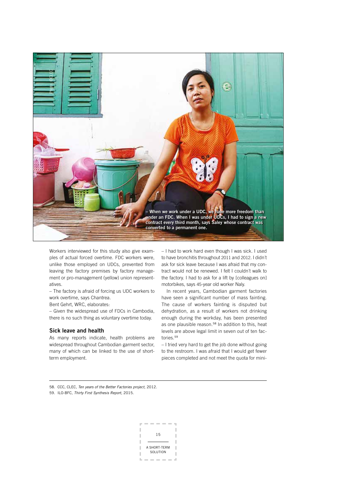

Workers interviewed for this study also give examples of actual forced overtime. FDC workers were, unlike those employed on UDCs, prevented from leaving the factory premises by factory management or pro-management (yellow) union representatives.

– The factory is afraid of forcing us UDC workers to work overtime, says Chantrea.

Bent Gehrt, WRC, elaborates:

– Given the widespread use of FDCs in Cambodia, there is no such thing as voluntary overtime today.

### Sick leave and health

As many reports indicate, health problems are widespread throughout Cambodian garment sector, many of which can be linked to the use of shortterm employment.

– I had to work hard even though I was sick. I used to have bronchitis throughout 2011 and 2012. I didn´t ask for sick leave because I was afraid that my contract would not be renewed. I felt I couldn´t walk to the factory. I had to ask for a lift by [colleagues on] motorbikes, says 45-year old worker Naly.

In recent years, Cambodian garment factories have seen a significant number of mass fainting. The cause of workers fainting is disputed but dehydration, as a result of workers not drinking enough during the workday, has been presented as one plausible reason.<sup>58</sup> In addition to this, heat levels are above legal limit in seven out of ten factories.<sup>59</sup>

– I tried very hard to get the job done without going to the restroom. I was afraid that I would get fewer pieces completed and not meet the quota for mini-

58. CCC, CLEC, Ten years of the Better Factories project, 2012.

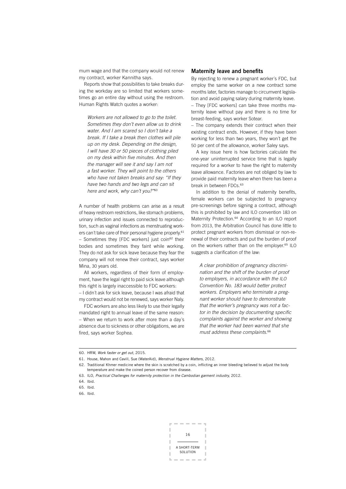mum wage and that the company would not renew my contract, worker Kannitha says.

Reports show that possibilities to take breaks during the workday are so limited that workers sometimes go an entire day without using the restroom. Human Rights Watch quotes a worker:

Workers are not allowed to go to the toilet. Sometimes they don't even allow us to drink water. And I am scared so I don't take a break. If I take a break then clothes will pile up on my desk. Depending on the design, I will have 30 or 50 pieces of clothing piled on my desk within five minutes. And then the manager will see it and say I am not a fast worker. They will point to the others who have not taken breaks and say: "If they have two hands and two legs and can sit here and work, why can't you?"<sup>60</sup>

A number of health problems can arise as a result of heavy restroom restrictions, like stomach problems, urinary infection and issues connected to reproduction, such as vaginal infections as menstruating workers can't take care of their personal hygiene properly.<sup>61</sup>  $-$  Sometimes they [FDC workers] just coin<sup>62</sup> their bodies and sometimes they faint while working. They do not ask for sick leave because they fear the company will not renew their contract, says worker Mina, 30 years old.

All workers, regardless of their form of employment, have the legal right to paid sick leave although this right is largely inaccessible to FDC workers: – I didn´t ask for sick leave, because I was afraid that my contract would not be renewed, says worker Naly.

FDC workers are also less likely to use their legally mandated right to annual leave of the same reason: – When we return to work after more than a day´s absence due to sickness or other obligations, we are fired, says worker Sophea.

### Maternity leave and benefits

By rejecting to renew a pregnant worker´s FDC, but employ the same worker on a new contract some months later, factories manage to circumvent legislation and avoid paying salary during maternity leave.

– They [FDC workers] can take three months maternity leave without pay and there is no time for breast-feeding, says worker Sotear.

– The company extends their contract when their existing contract ends. However, if they have been working for less than two years, they won´t get the 50 per cent of the allowance, worker Saley says.

A key issue here is how factories calculate the one-year uninterrupted service time that is legally required for a worker to have the right to maternity leave allowance. Factories are not obliged by law to provide paid maternity leave when there has been a break in between FDCs.<sup>63</sup>

In addition to the denial of maternity benefits, female workers can be subjected to pregnancy pre-screenings before signing a contract, although this is prohibited by law and ILO convention 183 on Maternity Protection.64 According to an ILO report from 2013, the Arbitration Council has done little to protect pregnant workers from dismissal or non-renewal of their contracts and put the burden of proof on the workers rather than on the employer.<sup>65</sup> ILO suggests a clarification of the law:

A clear prohibition of pregnancy discrimination and the shift of the burden of proof to employers, in accordance with the ILO Convention No. 183 would better protect workers. Employers who terminate a pregnant worker should have to demonstrate that the worker's pregnancy was not a factor in the decision by documenting specific complaints against the worker and showing that the worker had been warned that she must address these complaints.<sup>66</sup>

66. Ibid.



<sup>60.</sup> HRW, Work faster or get out, 2015.

<sup>61.</sup> House, Mahon and Cavill, Sue (WaterAid), Menstrual Hygiene Matters, 2012.

<sup>62.</sup> Traditional Khmer medicine where the skin is scratched by a coin, inflicting an inner bleeding believed to adjust the body temperature and make the coined person recover from disease.

<sup>63.</sup> ILO, Practical Challenges for maternity protection in the Cambodian garment industry, 2012.

<sup>64.</sup> Ibid.

<sup>65.</sup> Ibid.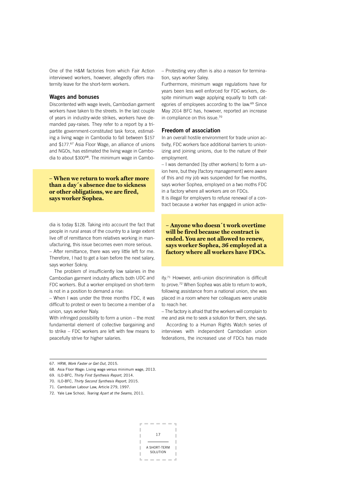One of the H&M factories from which Fair Action interviewed workers, however, allegedly offers maternity leave for the short-term workers.

### Wages and bonuses

Discontented with wage levels, Cambodian garment workers have taken to the streets. In the last couple of years in industry-wide strikes, workers have demanded pay-raises. They refer to a report by a tripartite government-constituted task force, estimating a living wage in Cambodia to fall between \$157 and \$177. <sup>67</sup> Asia Floor Wage, an alliance of unions and NGOs, has estimated the living wage in Cambodia to about \$30068. The minimum wage in Cambo-

**– When we return to work after more than a day´s absence due to sickness or other obligations, we are fired, says worker Sophea.**

dia is today \$128. Taking into account the fact that people in rural areas of the country to a large extent live off of remittance from relatives working in manufacturing, this issue becomes even more serious. – After remittance, there was very little left for me. Therefore, I had to get a loan before the next salary, says worker Sokny.

The problem of insufficiently low salaries in the Cambodian garment industry affects both UDC and FDC workers. But a worker employed on short-term is not in a position to demand a rise:

– When I was under the three months FDC, it was difficult to protest or even to become a member of a union, says worker Naly.

With infringed possibility to form a union – the most fundamental element of collective bargaining and to strike – FDC workers are left with few means to peacefully strive for higher salaries.

– Protesting very often is also a reason for termination, says worker Saley.

Furthermore, minimum wage regulations have for years been less well enforced for FDC workers, despite minimum wage applying equally to both categories of employees according to the law.<sup>69</sup> Since May 2014 BFC has, however, reported an increase in compliance on this issue.<sup>70</sup>

### Freedom of association

In an overall hostile environment for trade union activity, FDC workers face additional barriers to unionizing and joining unions, due to the nature of their employment.

– I was demanded [by other workers] to form a union here, but they [factory management] were aware of this and my job was suspended for five months, says worker Sophea, employed on a two moths FDC in a factory where all workers are on FDCs.

It is illegal for employers to refuse renewal of a contract because a worker has engaged in union activ-

**– Anyone who doesn´t work overtime will be fired because the contract is ended. You are not allowed to renew, says worker Sophea, 36 employed at a factory where all workers have FDCs.**

ity.71 However, anti-union discrimination is difficult to prove.72 When Sophea was able to return to work, following assistance from a national union, she was placed in a room where her colleagues were unable to reach her.

– The factory is afraid that the workers will complain to me and ask me to seek a solution for them, she says.

According to a Human Rights Watch series of interviews with independent Cambodian union federations, the increased use of FDCs has made

- 68. Asia Floor Wage: Living wage versus minimum wage, 2013.
- 69. ILO-BFC, Thirty First Synthesis Report, 2014.
- 70. ILO-BFC, Thirty Second Synthesis Report, 2015.
- 71. Cambodian Labour Law, Article 279, 1997.

72. Yale Law School, Tearing Apart at the Seams, 2011.



<sup>67.</sup> HRW, Work Faster or Get Out, 2015.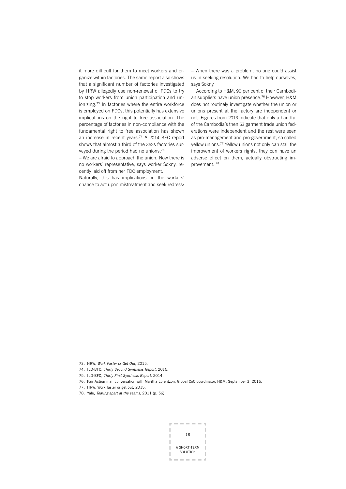it more difficult for them to meet workers and organize within factories. The same report also shows that a significant number of factories investigated by HRW allegedly use non-renewal of FDCs to try to stop workers from union participation and unionizing.73 In factories where the entire workforce is employed on FDCs, this potentially has extensive implications on the right to free association. The percentage of factories in non-compliance with the fundamental right to free association has shown an increase in recent years.74 A 2014 BFC report shows that almost a third of the 362s factories surveyed during the period had no unions.<sup>75</sup>

– We are afraid to approach the union. Now there is no workers´ representative, says worker Sokny, recently laid off from her FDC employment.

Naturally, this has implications on the workers´ chance to act upon mistreatment and seek redress:

– When there was a problem, no one could assist us in seeking resolution. We had to help ourselves, says Sokny.

According to H&M, 90 per cent of their Cambodian suppliers have union presence.76 However, H&M does not routinely investigate whether the union or unions present at the factory are independent or not. Figures from 2013 indicate that only a handful of the Cambodia´s then 63 garment trade union federations were independent and the rest were seen as pro-management and pro-government, so called yellow unions.77 Yellow unions not only can stall the improvement of workers rights, they can have an adverse effect on them, actually obstructing improvement. <sup>78</sup>



<sup>73.</sup> HRW, Work Faster or Get Out, 2015.

<sup>74.</sup> ILO-BFC, Thirty Second Synthesis Report, 2015.

<sup>75.</sup> ILO-BFC, Thirty First Synthesis Report, 2014.

<sup>76.</sup> Fair Action mail conversation with Maritha Lorentzon, Global CoC coordinator, H&M, September 3, 2015.

<sup>77.</sup> HRW, Work faster or get out, 2015.

<sup>78.</sup> Yale, Tearing apart at the seams, 2011 (p. 56)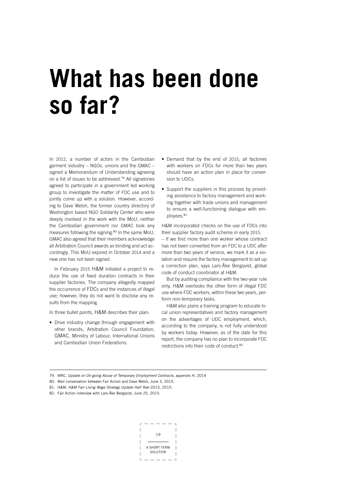# **What has been done so far?**

In 2012, a number of actors in the Cambodian garment industry – NGOs, unions and the GMAC – signed a Memorandum of Understanding agreeing on a list of issues to be addressed.79 All signatories agreed to participate in a government led working group to investigate the matter of FDC use and to jointly come up with a solution. However, according to Dave Welsh, the former country directory of Washington based NGO Solidarity Center who were deeply involved in the work with the MoU, neither the Cambodian government nor GMAC took any measures following the signing.<sup>80</sup> In the same MoU, GMAC also agreed that their members acknowledge all Arbitration Council awards as binding and act accordingly. This MoU expired in October 2014 and a new one has not been signed.

In February 2015 H&M initiated a project to reduce the use of fixed duration contracts in their supplier factories. The company allegedly mapped the occurrence of FDCs and the instances of illegal use; however, they do not want to disclose any results from the mapping.

In three bullet points, H&M describes their plan:

• Drive industry change through engagement with other brands; Arbitration Council Foundation, GMAC, Ministry of Labour, International Unions and Cambodian Union Federations.

- Demand that by the end of 2015, all factories with workers on FDCs for more than two years should have an action plan in place for conversion to UDCs.
- Support the suppliers in this process by providing assistance to factory management and working together with trade unions and management to ensure a well-functioning dialogue with employees.<sup>81</sup>

H&M incorporated checks on the use of FDCs into their supplier factory audit scheme in early 2015.

– If we find more than one worker whose contract has not been converted from an FDC to a UDC after more than two years of service, we mark it as a violation and require the factory management to set up a correction plan, says Lars-Åke Bergqvist, global code of conduct coordinator at H&M.

But by auditing compliance with the two-year rule only, H&M overlooks the other form of illegal FDC use where FDC workers, within these two years, perform non-temporary tasks.

H&M also plans a training program to educate local union representatives and factory management on the advantages of UDC employment, which, according to the company, is not fully understood by workers today. However, as of the date for this report, the company has no plan to incorporate FDC restrictions into their code of conduct.<sup>82</sup>

82. Fair Action interview with Lars-Åke Bergqvist, June 25, 2015.



<sup>79.</sup> WRC, Update on On-going Abuse of Temporary Employment Contracts, appendix H, 2014

<sup>80.</sup> Mail conversation between Fair Action and Dave Welsh, June 3, 2015.

<sup>81.</sup> H&M, H&M Fair Living Wage Strategy Update Half Year 2015, 2015.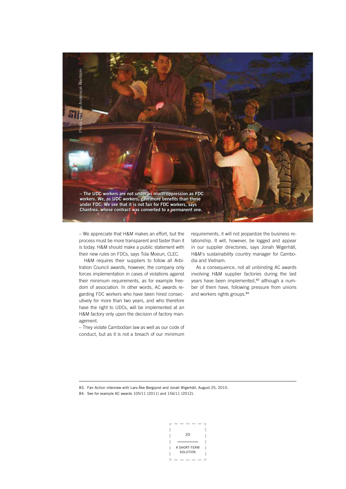

– We appreciate that H&M makes an effort, but the process must be more transparent and faster than it is today. H&M should make a public statement with their new rules on FDCs, says Tola Moeun, CLEC.

H&M requires their suppliers to follow all Arbitration Council awards, however, the company only forces implementation in cases of violations against their minimum requirements, as for example freedom of association. In other words, AC awards regarding FDC workers who have been hired consecutively for more than two years, and who therefore have the right to UDCs, will be implemented at an H&M factory only upon the decision of factory management.

– They violate Cambodian law as well as our code of conduct, but as it is not a breach of our minimum

requirements, it will not jeopardize the business relationship. It will, however, be logged and appear in our supplier directories, says Jonah Wigerhäll, H&M´s sustainability country manager for Cambodia and Vietnam.

As a consequence, not all unbinding AC awards involving H&M supplier factories during the last years have been implemented,<sup>83</sup> although a number of them have, following pressure from unions and workers rights groups.<sup>84</sup>

83. Fair Action interview with Lars-Åke Bergqvist and Jonah Wigerhäll, August 25, 2015.

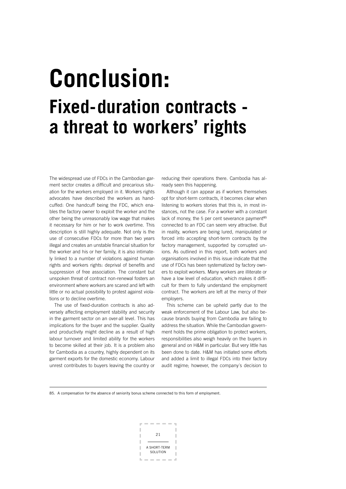### **Conclusion: Fixed-duration contracts a threat to workers' rights**

The widespread use of FDCs in the Cambodian garment sector creates a difficult and precarious situation for the workers employed in it. Workers rights advocates have described the workers as handcuffed: One handcuff being the FDC, which enables the factory owner to exploit the worker and the other being the unreasonably low wage that makes it necessary for him or her to work overtime. This description is still highly adequate. Not only is the use of consecutive FDCs for more than two years illegal and creates an unstable financial situation for the worker and his or her family, it is also intimately linked to a number of violations against human rights and workers rights: deprival of benefits and suppression of free association. The constant but unspoken threat of contract non-renewal fosters an environment where workers are scared and left with little or no actual possibility to protest against violations or to decline overtime.

The use of fixed-duration contracts is also adversely affecting employment stability and security in the garment sector on an over-all level. This has implications for the buyer and the supplier. Quality and productivity might decline as a result of high labour turnover and limited ability for the workers to become skilled at their job. It is a problem also for Cambodia as a country, highly dependent on its garment exports for the domestic economy. Labour unrest contributes to buyers leaving the country or

reducing their operations there. Cambodia has already seen this happening.

Although it can appear as if workers themselves opt for short-term contracts, it becomes clear when listening to workers stories that this is, in most instances, not the case. For a worker with a constant lack of money, the 5 per cent severance payment<sup>85</sup> connected to an FDC can seem very attractive. But in reality, workers are being lured, manipulated or forced into accepting short-term contracts by the factory management, supported by corrupted unions. As outlined in this report, both workers and organisations involved in this issue indicate that the use of FDCs has been systematized by factory owners to exploit workers. Many workers are illiterate or have a low level of education, which makes it difficult for them to fully understand the employment contract. The workers are left at the mercy of their employers.

This scheme can be upheld partly due to the weak enforcement of the Labour Law, but also because brands buying from Cambodia are failing to address the situation. While the Cambodian government holds the prime obligation to protect workers, responsibilities also weigh heavily on the buyers in general and on H&M in particular. But very little has been done to date. H&M has initiated some efforts and added a limit to illegal FDCs into their factory audit regime; however, the company´s decision to

85. A compensation for the absence of seniority bonus scheme connected to this form of employment.

$$
\begin{array}{c}\n21 \\
\hline\n\end{array}
$$
\nABHORT-TERM  
SOLUTION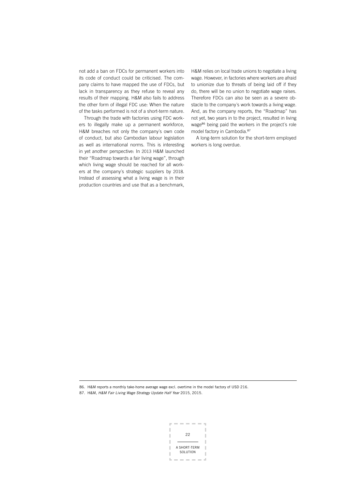not add a ban on FDCs for permanent workers into its code of conduct could be criticised. The company claims to have mapped the use of FDCs, but lack in transparency as they refuse to reveal any results of their mapping. H&M also fails to address the other form of illegal FDC use: When the nature of the tasks performed is not of a short-term nature.

Through the trade with factories using FDC workers to illegally make up a permanent workforce, H&M breaches not only the company´s own code of conduct, but also Cambodian labour legislation as well as international norms. This is interesting in yet another perspective: In 2013 H&M launched their "Roadmap towards a fair living wage", through which living wage should be reached for all workers at the company´s strategic suppliers by 2018. Instead of assessing what a living wage is in their production countries and use that as a benchmark,

H&M relies on local trade unions to negotiate a living wage. However, in factories where workers are afraid to unionize due to threats of being laid off if they do, there will be no union to negotiate wage raises. Therefore FDCs can also be seen as a severe obstacle to the company´s work towards a living wage. And, as the company reports, the "Roadmap" has not yet, two years in to the project, resulted in living wage<sup>86</sup> being paid the workers in the project's role model factory in Cambodia.<sup>87</sup>

A long-term solution for the short-term employed workers is long overdue.

86. H&M reports a monthly take-home average wage excl. overtime in the model factory of USD 216.

87. H&M, H&M Fair Living Wage Strategy Update Half Year 2015, 2015.

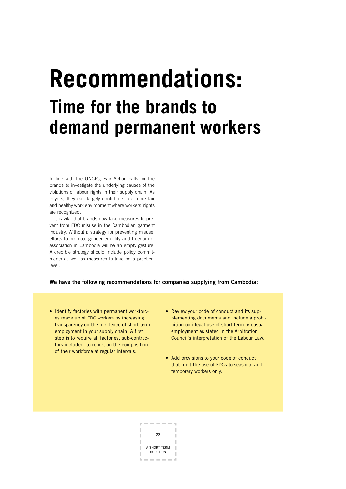### **Recommendations: Time for the brands to demand permanent workers**

In line with the UNGPs, Fair Action calls for the brands to investigate the underlying causes of the violations of labour rights in their supply chain. As buyers, they can largely contribute to a more fair and healthy work environment where workers´ rights are recognized.

It is vital that brands now take measures to prevent from FDC misuse in the Cambodian garment industry. Without a strategy for preventing misuse, efforts to promote gender equality and freedom of association in Cambodia will be an empty gesture. A credible strategy should include policy commitments as well as measures to take on a practical level.

### We have the following recommendations for companies supplying from Cambodia:

- Identify factories with permanent workforces made up of FDC workers by increasing transparency on the incidence of short-term employment in your supply chain. A first step is to require all factories, sub-contractors included, to report on the composition of their workforce at regular intervals.
- Review your code of conduct and its supplementing documents and include a prohibition on illegal use of short-term or casual employment as stated in the Arbitration Council´s interpretation of the Labour Law.
- Add provisions to your code of conduct that limit the use of FDCs to seasonal and temporary workers only.

 $23$ A SHORT-TERM **SOLUTION**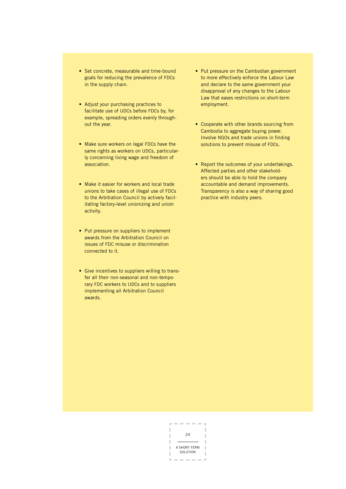- Set concrete, measurable and time-bound goals for reducing the prevalence of FDCs in the supply chain.
- Adjust your purchasing practices to facilitate use of UDCs before FDCs by, for example, spreading orders evenly throughout the year.
- Make sure workers on legal FDCs have the same rights as workers on UDCs, particularly concerning living wage and freedom of association.
- Make it easier for workers and local trade unions to take cases of illegal use of FDCs to the Arbitration Council by actively facilitating factory-level unionizing and union activity.
- Put pressure on suppliers to implement awards from the Arbitration Council on issues of FDC misuse or discrimination connected to it.
- Give incentives to suppliers willing to transfer all their non-seasonal and non-temporary FDC workers to UDCs and to suppliers implementing all Arbitration Council awards.
- Put pressure on the Cambodian government to more effectively enforce the Labour Law and declare to the same government your disapproval of any changes to the Labour Law that eases restrictions on short-term employment.
- Cooperate with other brands sourcing from Cambodia to aggregate buying power. Involve NGOs and trade unions in finding solutions to prevent misuse of FDCs.
- Report the outcomes of your undertakings. Affected parties and other stakeholders should be able to hold the company accountable and demand improvements. Transparency is also a way of sharing good practice with industry peers.

I J  $24$ I л A SHORT-TERM П SOLUTION T.  $\mathbb{R}^2$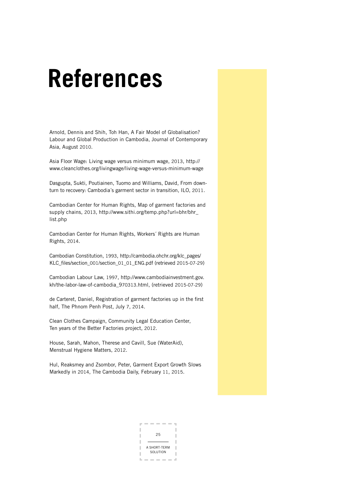### **References**

Arnold, Dennis and Shih, Toh Han, A Fair Model of Globalisation? Labour and Global Production in Cambodia, Journal of Contemporary Asia, August 2010.

Asia Floor Wage: Living wage versus minimum wage, 2013, http:// www.cleanclothes.org/livingwage/living-wage-versus-minimum-wage

Dasgupta, Sukti, Poutiainen, Tuomo and Williams, David, From downturn to recovery: Cambodia´s garment sector in transition, ILO, 2011.

Cambodian Center for Human Rights, Map of garment factories and supply chains, 2013, http://www.sithi.org/temp.php?url=bhr/bhr\_ list.php

Cambodian Center for Human Rights, Workers´ Rights are Human Rights, 2014.

Cambodian Constitution, 1993, http://cambodia.ohchr.org/klc\_pages/ KLC\_files/section\_001/section\_01\_01\_ENG.pdf (retrieved 2015-07-29)

Cambodian Labour Law, 1997, http://www.cambodiainvestment.gov. kh/the-labor-law-of-cambodia\_970313.html, (retrieved 2015-07-29)

de Carteret, Daniel, Registration of garment factories up in the first half, The Phnom Penh Post, July 7, 2014.

Clean Clothes Campaign, Community Legal Education Center, Ten years of the Better Factories project, 2012.

House, Sarah, Mahon, Therese and Cavill, Sue (WaterAid), Menstrual Hygiene Matters, 2012.

Hul, Reaksmey and Zsombor, Peter, Garment Export Growth Slows Markedly in 2014, The Cambodia Daily, February 11, 2015.

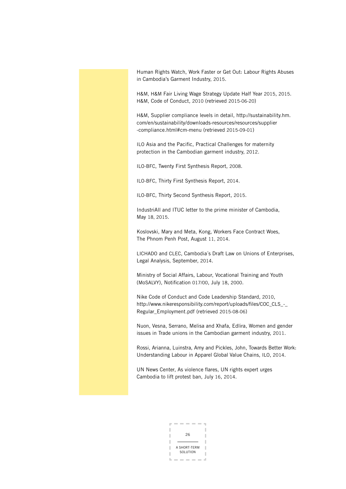Human Rights Watch, Work Faster or Get Out: Labour Rights Abuses in Cambodia's Garment Industry, 2015.

H&M, H&M Fair Living Wage Strategy Update Half Year 2015, 2015. H&M, Code of Conduct, 2010 (retrieved 2015-06-20)

H&M, Supplier compliance levels in detail, http://sustainability.hm. com/en/sustainability/downloads-resources/resources/supplier -compliance.html#cm-menu (retrieved 2015-09-01)

ILO Asia and the Pacific, Practical Challenges for maternity protection in the Cambodian garment industry, 2012.

ILO-BFC, Twenty First Synthesis Report, 2008.

ILO-BFC, Thirty First Synthesis Report, 2014.

ILO-BFC, Thirty Second Synthesis Report, 2015.

IndustriAll and ITUC letter to the prime minister of Cambodia, May 18, 2015.

Koslovski, Mary and Meta, Kong, Workers Face Contract Woes, The Phnom Penh Post, August 11, 2014.

LICHADO and CLEC, Cambodia´s Draft Law on Unions of Enterprises, Legal Analysis, September, 2014.

Ministry of Social Affairs, Labour, Vocational Training and Youth (MoSALVY), Notification 017/00, July 18, 2000.

Nike Code of Conduct and Code Leadership Standard, 2010, http://www.nikeresponsibility.com/report/uploads/files/COC\_CLS\_-\_ Regular\_Employment.pdf (retrieved 2015-08-06)

Nuon, Vesna, Serrano, Melisa and Xhafa, Edlira, Women and gender issues in Trade unions in the Cambodian garment industry, 2011.

Rossi, Arianna, Luinstra, Amy and Pickles, John, Towards Better Work: Understanding Labour in Apparel Global Value Chains, ILO, 2014.

UN News Center, As violence flares, UN rights expert urges Cambodia to lift protest ban, July 16, 2014.

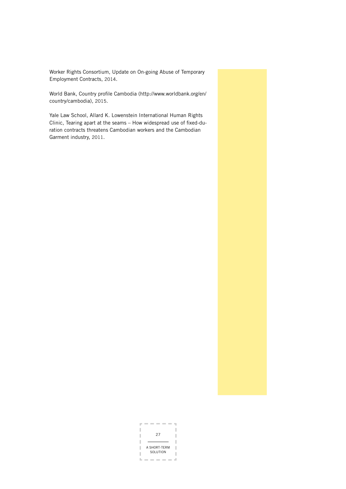Worker Rights Consortium, Update on On-going Abuse of Temporary Employment Contracts, 2014.

World Bank, Country profile Cambodia (http://www.worldbank.org/en/ country/cambodia), 2015.

Yale Law School, Allard K. Lowenstein International Human Rights Clinic, Tearing apart at the seams – How widespread use of fixed-duration contracts threatens Cambodian workers and the Cambodian Garment industry, 2011.